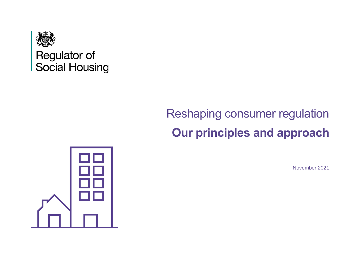

Regulator of Social Housing

# Reshaping consumer regulation **Our principles and approach**



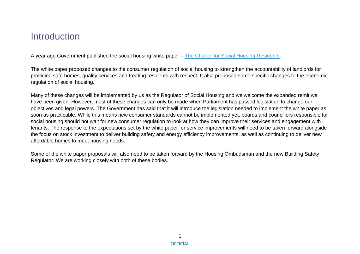### **Introduction**

A year ago Government published the social housing white paper – [The Charter for Social Housing Residents.](https://www.gov.uk/government/publications/the-charter-for-social-housing-residents-social-housing-white-paper)

The white paper proposed changes to the consumer regulation of social housing to strengthen the accountability of landlords for providing safe homes, quality services and treating residents with respect. It also proposed some specific changes to the economic regulation of social housing.

Many of these changes will be implemented by us as the Regulator of Social Housing and we welcome the expanded remit we have been given. However, most of these changes can only be made when Parliament has passed legislation to change our objectives and legal powers. The Government has said that it will introduce the legislation needed to implement the white paper as soon as practicable. While this means new consumer standards cannot be implemented yet, boards and councillors responsible for social housing should not wait for new consumer regulation to look at how they can improve their services and engagement with tenants. The response to the expectations set by the white paper for service improvements will need to be taken forward alongside the focus on stock investment to deliver building safety and energy efficiency improvements, as well as continuing to deliver new affordable homes to meet housing needs.

Some of the white paper proposals will also need to be taken forward by the Housing Ombudsman and the new Building Safety Regulator. We are working closely with both of these bodies.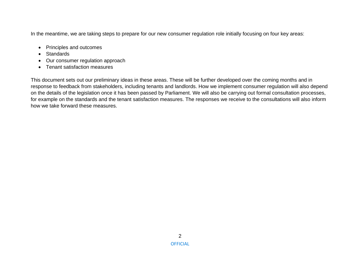In the meantime, we are taking steps to prepare for our new consumer regulation role initially focusing on four key areas:

- Principles and outcomes
- Standards
- Our consumer regulation approach
- Tenant satisfaction measures

This document sets out our preliminary ideas in these areas. These will be further developed over the coming months and in response to feedback from stakeholders, including tenants and landlords. How we implement consumer regulation will also depend on the details of the legislation once it has been passed by Parliament. We will also be carrying out formal consultation processes, for example on the standards and the tenant satisfaction measures. The responses we receive to the consultations will also inform how we take forward these measures.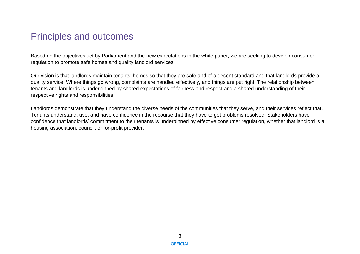### Principles and outcomes

Based on the objectives set by Parliament and the new expectations in the white paper, we are seeking to develop consumer regulation to promote safe homes and quality landlord services.

Our vision is that landlords maintain tenants' homes so that they are safe and of a decent standard and that landlords provide a quality service. Where things go wrong, complaints are handled effectively, and things are put right. The relationship between tenants and landlords is underpinned by shared expectations of fairness and respect and a shared understanding of their respective rights and responsibilities.

Landlords demonstrate that they understand the diverse needs of the communities that they serve, and their services reflect that. Tenants understand, use, and have confidence in the recourse that they have to get problems resolved. Stakeholders have confidence that landlords' commitment to their tenants is underpinned by effective consumer regulation, whether that landlord is a housing association, council, or for-profit provider.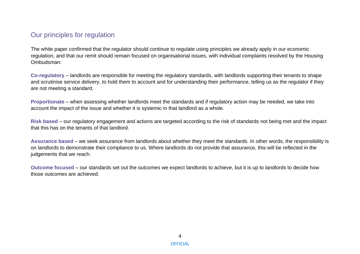#### Our principles for regulation

The white paper confirmed that the regulator should continue to regulate using principles we already apply in our economic regulation, and that our remit should remain focused on organisational issues, with individual complaints resolved by the Housing Ombudsman:

**Co-regulatory** – landlords are responsible for meeting the regulatory standards, with landlords supporting their tenants to shape and scrutinise service delivery, to hold them to account and for understanding their performance, telling us as the regulator if they are not meeting a standard.

**Proportionate** – when assessing whether landlords meet the standards and if regulatory action may be needed, we take into account the impact of the issue and whether it is systemic in that landlord as a whole.

**Risk based** – our regulatory engagement and actions are targeted according to the risk of standards not being met and the impact that this has on the tenants of that landlord.

**Assurance based** – we seek assurance from landlords about whether they meet the standards. In other words, the responsibility is on landlords to demonstrate their compliance to us. Where landlords do not provide that assurance, this will be reflected in the judgements that we reach.

**Outcome focused** – our standards set out the outcomes we expect landlords to achieve, but it is up to landlords to decide how those outcomes are achieved.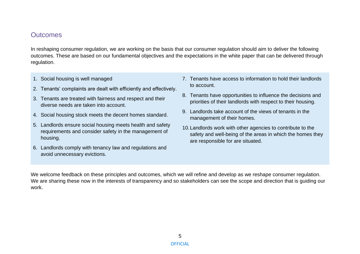#### **Outcomes**

In reshaping consumer regulation, we are working on the basis that our consumer regulation should aim to deliver the following outcomes. These are based on our fundamental objectives and the expectations in the white paper that can be delivered through regulation.

- 1. Social housing is well managed
- 2. Tenants' complaints are dealt with efficiently and effectively.
- 3. Tenants are treated with fairness and respect and their diverse needs are taken into account.
- 4. Social housing stock meets the decent homes standard.
- 5. Landlords ensure social housing meets health and safety requirements and consider safety in the management of housing.
- 6. Landlords comply with tenancy law and regulations and avoid unnecessary evictions.
- 7. Tenants have access to information to hold their landlords to account.
- 8. Tenants have opportunities to influence the decisions and priorities of their landlords with respect to their housing.
- 9. Landlords take account of the views of tenants in the management of their homes.
- 10.Landlords work with other agencies to contribute to the safety and well-being of the areas in which the homes they are responsible for are situated.

We welcome feedback on these principles and outcomes, which we will refine and develop as we reshape consumer regulation. We are sharing these now in the interests of transparency and so stakeholders can see the scope and direction that is guiding our work.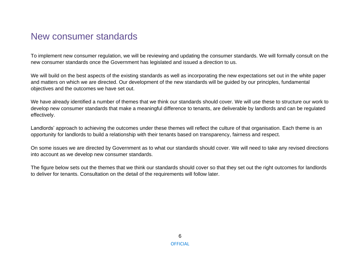### New consumer standards

To implement new consumer regulation, we will be reviewing and updating the consumer standards. We will formally consult on the new consumer standards once the Government has legislated and issued a direction to us.

We will build on the best aspects of the existing standards as well as incorporating the new expectations set out in the white paper and matters on which we are directed. Our development of the new standards will be guided by our principles, fundamental objectives and the outcomes we have set out.

We have already identified a number of themes that we think our standards should cover. We will use these to structure our work to develop new consumer standards that make a meaningful difference to tenants, are deliverable by landlords and can be regulated effectively.

Landlords' approach to achieving the outcomes under these themes will reflect the culture of that organisation. Each theme is an opportunity for landlords to build a relationship with their tenants based on transparency, fairness and respect.

On some issues we are directed by Government as to what our standards should cover. We will need to take any revised directions into account as we develop new consumer standards.

The figure below sets out the themes that we think our standards should cover so that they set out the right outcomes for landlords to deliver for tenants. Consultation on the detail of the requirements will follow later.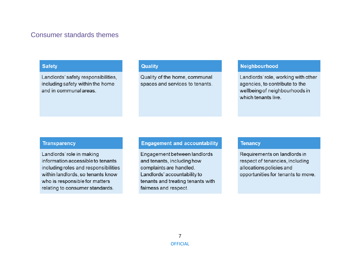#### Consumer standards themes

#### **Safety**

Landlords' safety responsibilities, including safety within the home and in communal areas

#### **Quality**

Quality of the home, communal spaces and services to tenants.

#### Neighbourhood

Landlords' role, working with other agencies, to contribute to the wellbeing of neighbourhoods in which tenants live

#### **Transparency**

Landlords' role in making information accessible to tenants including roles and responsibilities within landlords, so tenants know who is responsible for matters relating to consumer standards.

#### **Engagement and accountability**

Engagement between landlords and tenants, including how complaints are handled. Landlords' accountability to tenants and treating tenants with fairness and respect.

#### **Tenancy**

Requirements on landlords in respect of tenancies, including allocations policies and opportunities for tenants to move.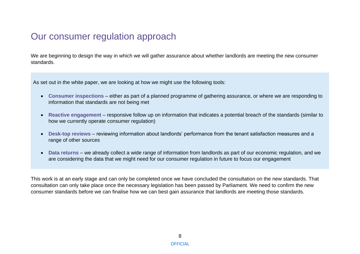### Our consumer regulation approach

We are beginning to design the way in which we will gather assurance about whether landlords are meeting the new consumer standards.

As set out in the white paper, we are looking at how we might use the following tools:

- **Consumer inspections** either as part of a planned programme of gathering assurance, or where we are responding to information that standards are not being met
- **Reactive engagement** responsive follow up on information that indicates a potential breach of the standards (similar to how we currently operate consumer regulation)
- **Desk-top reviews** reviewing information about landlords' performance from the tenant satisfaction measures and a range of other sources
- **Data returns** we already collect a wide range of information from landlords as part of our economic regulation, and we are considering the data that we might need for our consumer regulation in future to focus our engagement

This work is at an early stage and can only be completed once we have concluded the consultation on the new standards. That consultation can only take place once the necessary legislation has been passed by Parliament. We need to confirm the new consumer standards before we can finalise how we can best gain assurance that landlords are meeting those standards.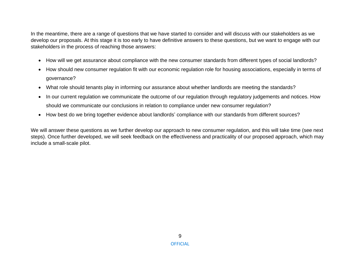In the meantime, there are a range of questions that we have started to consider and will discuss with our stakeholders as we develop our proposals. At this stage it is too early to have definitive answers to these questions, but we want to engage with our stakeholders in the process of reaching those answers:

- How will we get assurance about compliance with the new consumer standards from different types of social landlords?
- How should new consumer regulation fit with our economic regulation role for housing associations, especially in terms of governance?
- What role should tenants play in informing our assurance about whether landlords are meeting the standards?
- In our current regulation we communicate the outcome of our regulation through regulatory judgements and notices. How should we communicate our conclusions in relation to compliance under new consumer regulation?
- How best do we bring together evidence about landlords' compliance with our standards from different sources?

We will answer these questions as we further develop our approach to new consumer regulation, and this will take time (see next steps). Once further developed, we will seek feedback on the effectiveness and practicality of our proposed approach, which may include a small-scale pilot.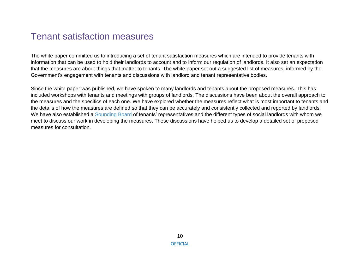### Tenant satisfaction measures

The white paper committed us to introducing a set of tenant satisfaction measures which are intended to provide tenants with information that can be used to hold their landlords to account and to inform our regulation of landlords. It also set an expectation that the measures are about things that matter to tenants. The white paper set out a suggested list of measures, informed by the Government's engagement with tenants and discussions with landlord and tenant representative bodies.

Since the white paper was published, we have spoken to many landlords and tenants about the proposed measures. This has included workshops with tenants and meetings with groups of landlords. The discussions have been about the overall approach to the measures and the specifics of each one. We have explored whether the measures reflect what is most important to tenants and the details of how the measures are defined so that they can be accurately and consistently collected and reported by landlords. We have also established a [Sounding Board](https://www.gov.uk/government/news/rsh-announces-tenant-satisfaction-measures-sounding-board) of tenants' representatives and the different types of social landlords with whom we meet to discuss our work in developing the measures. These discussions have helped us to develop a detailed set of proposed measures for consultation.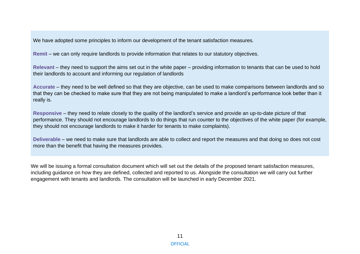We have adopted some principles to inform our development of the tenant satisfaction measures.

**Remit** – we can only require landlords to provide information that relates to our statutory objectives.

**Relevant** – they need to support the aims set out in the white paper – providing information to tenants that can be used to hold their landlords to account and informing our regulation of landlords

**Accurate** – they need to be well defined so that they are objective, can be used to make comparisons between landlords and so that they can be checked to make sure that they are not being manipulated to make a landlord's performance look better than it really is.

**Responsive** – they need to relate closely to the quality of the landlord's service and provide an up-to-date picture of that performance. They should not encourage landlords to do things that run counter to the objectives of the white paper (for example, they should not encourage landlords to make it harder for tenants to make complaints).

**Deliverable** – we need to make sure that landlords are able to collect and report the measures and that doing so does not cost more than the benefit that having the measures provides.

We will be issuing a formal consultation document which will set out the details of the proposed tenant satisfaction measures, including guidance on how they are defined, collected and reported to us. Alongside the consultation we will carry out further engagement with tenants and landlords. The consultation will be launched in early December 2021.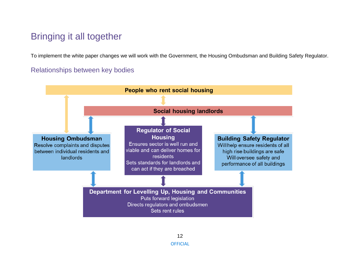### Bringing it all together

To implement the white paper changes we will work with the Government, the Housing Ombudsman and Building Safety Regulator.

#### Relationships between key bodies

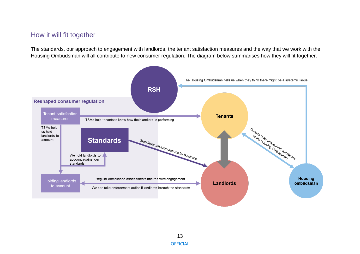#### How it will fit together

The standards, our approach to engagement with landlords, the tenant satisfaction measures and the way that we work with the Housing Ombudsman will all contribute to new consumer regulation. The diagram below summarises how they will fit together.

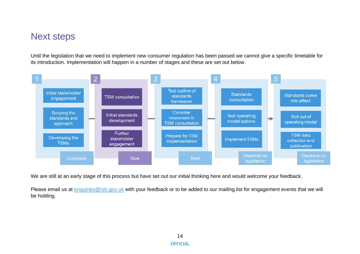### Next steps

Until the legislation that we need to implement new consumer regulation has been passed we cannot give a specific timetable for its introduction. Implementation will happen in a number of stages and these are set out below.



We are still at an early stage of this process but have set out our initial thinking here and would welcome your feedback.

Please email us at [enquiries@rsh.gov.uk](mailto:enquiries@rsh.gov.uk) with your feedback or to be added to our mailing list for engagement events that we will be holding.